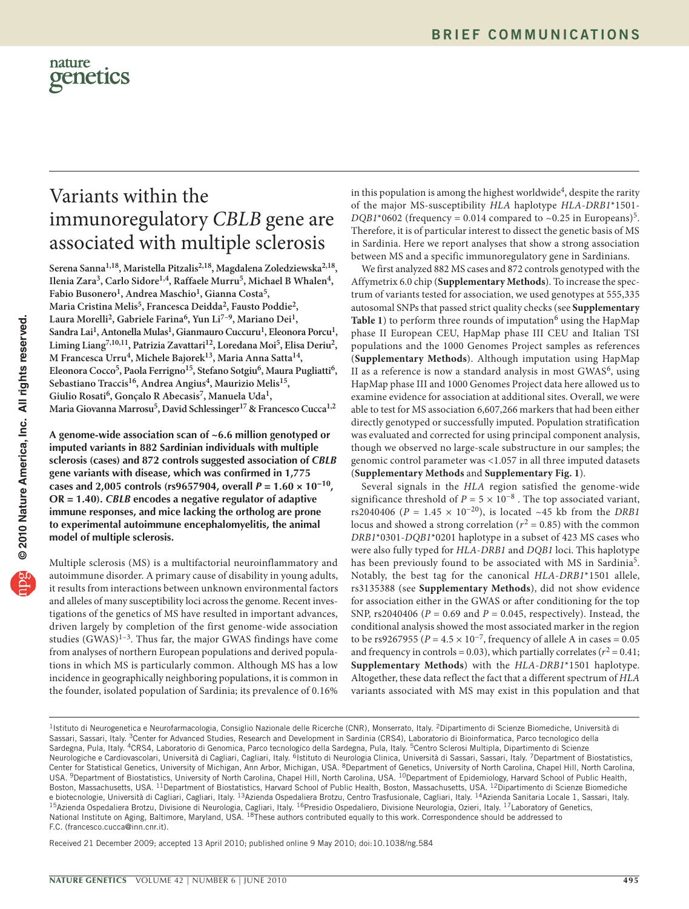

## Variants within the immunoregulatory *CBLB* gene are associated with multiple sclerosis

**Serena Sanna1,18, Maristella Pitzalis2,18, Magdalena Zoledziewska2,18,**  Ilenia Zara<sup>3</sup>, Carlo Sidore<sup>1,4</sup>, Raffaele Murru<sup>5</sup>, Michael B Whalen<sup>4</sup>, Fabio Busonero<sup>1</sup>, Andrea Maschio<sup>1</sup>, Gianna Costa<sup>5</sup>, **Maria Cristina Melis5, Francesca Deidda2, Fausto Poddie2, Laura Morelli2, Gabriele Farina6, Yun Li7–9, Mariano Dei1,**  Sandra Lai<sup>1</sup>, Antonella Mulas<sup>1</sup>, Gianmauro Cuccuru<sup>1</sup>, Eleonora Porcu<sup>1</sup>, **Liming Liang7,10,11, Patrizia Zavattari12, Loredana Moi5, Elisa Deriu2, M Francesca Urru4, Michele Bajorek13, Maria Anna Satta14, Eleonora Cocco5, Paola Ferrigno15, Stefano Sotgiu6, Maura Pugliatti6, Sebastiano Traccis16, Andrea Angius4, Maurizio Melis15, Giulio Rosati6, Gonçalo R Abecasis7, Manuela Uda1,**  Maria Giovanna Marrosu<sup>5</sup>, David Schlessinger<sup>17</sup> & Francesco Cucca<sup>1,2</sup>

**A genome-wide association scan of ~6.6 million genotyped or imputed variants in 882 Sardinian individuals with multiple sclerosis (cases) and 872 controls suggested association of** *CBLB* **gene variants with disease, which was confirmed in 1,775 cases and 2,005 controls (rs9657904, overall** *P* **= 1.60 × 10−10, OR = 1.40).** *CBLB* **encodes a negative regulator of adaptive immune responses, and mice lacking the ortholog are prone to experimental autoimmune encephalomyelitis, the animal model of multiple sclerosis.**

Multiple sclerosis (MS) is a multifactorial neuroinflammatory and autoimmune disorder. A primary cause of disability in young adults, it results from interactions between unknown environmental factors and alleles of many susceptibility loci across the genome. Recent investigations of the genetics of MS have resulted in important advances, driven largely by completion of the first genome-wide association studies  $(GWAS)^{1-3}$ . Thus far, the major GWAS findings have come from analyses of northern European populations and derived populations in which MS is particularly common. Although MS has a low incidence in geographically neighboring populations, it is common in the founder, isolated population of Sardinia; its prevalence of 0.16%

in this population is among the highest worldwide<sup>4</sup>, despite the rarity of the major MS-susceptibility *HLA* haplotype *HLA*-*DRB1*\*1501-  $DQB1*0602$  (frequency = 0.014 compared to ~0.2[5](#page-2-1) in Europeans)<sup>5</sup>. Therefore, it is of particular interest to dissect the genetic basis of MS in Sardinia. Here we report analyses that show a strong association between MS and a specific immunoregulatory gene in Sardinians.

We first analyzed 882 MS cases and 872 controls genotyped with the Affymetrix 6.0 chip (**Supplementary Methods**). To increase the spectrum of variants tested for association, we used genotypes at 555,335 autosomal SNPs that passed strict quality checks (see **Supplementary Table 1**) to perform three rounds of imputation<sup>[6](#page-2-2)</sup> using the HapMap phase II European CEU, HapMap phase III CEU and Italian TSI populations and the 1000 Genomes Project samples as references (**Supplementary Methods**). Although imputation using HapMap II as a reference is now a standard analysis in most  $GWAS<sup>6</sup>$ , using HapMap phase III and 1000 Genomes Project data here allowed us to examine evidence for association at additional sites. Overall, we were able to test for MS association 6,607,266 markers that had been either directly genotyped or successfully imputed. Population stratification was evaluated and corrected for using principal component analysis, though we observed no large-scale substructure in our samples; the genomic control parameter was <1.057 in all three imputed datasets (**Supplementary Methods** and **Supplementary Fig. 1**).

Several signals in the *HLA* region satisfied the genome-wide significance threshold of  $P = 5 \times 10^{-8}$ . The top associated variant, rs2040406 ( $P = 1.45 \times 10^{-20}$ ), is located ~45 kb from the *DRB1* locus and showed a strong correlation ( $r^2$  = 0.85) with the common *DRB1*\*0301-*DQB1*\*0201 haplotype in a subset of 423 MS cases who were also fully typed for *HLA*-*DRB1* and *DQB1* loci. This haplotype has been previously found to be associated with MS in Sardinia<sup>5</sup>. Notably, the best tag for the canonical *HLA*-*DRB1*\*1501 allele, rs3135388 (see **Supplementary Methods**), did not show evidence for association either in the GWAS or after conditioning for the top SNP, rs2040406 (*P* = 0.69 and *P* = 0.045, respectively). Instead, the conditional analysis showed the most associated marker in the region to be rs9267955 ( $P = 4.5 \times 10^{-7}$ , frequency of allele A in cases = 0.05 and frequency in controls = 0.03), which partially correlates ( $r^2$  = 0.41; **Supplementary Methods**) with the *HLA*-*DRB1*\*1501 haplotype. Altogether, these data reflect the fact that a different spectrum of *HLA* variants associated with MS may exist in this population and that

Received 21 December 2009; accepted 13 April 2010; published online 9 May 2010; [doi:10.1038/ng.584](http://www.nature.com/doifinder/10.1038/ng.584)

<sup>&</sup>lt;sup>1</sup>Istituto di Neurogenetica e Neurofarmacologia, Consiglio Nazionale delle Ricerche (CNR), Monserrato, Italy. <sup>2</sup>Dipartimento di Scienze Biomediche, Università di Sassari, Sassari, Italy. <sup>3</sup>Center for Advanced Studies, Research and Development in Sardinia (CRS4), Laboratorio di Bioinformatica, Parco tecnologico della Sardegna, Pula, Italy. <sup>4</sup>CRS4, Laboratorio di Genomica, Parco tecnologico della Sardegna, Pula, Italy. <sup>5</sup>Centro Sclerosi Multipla, Dipartimento di Scienze Neurologiche e Cardiovascolari, Università di Cagliari, Cagliari, Italy. <sup>6</sup>Istituto di Neurologia Clinica, Università di Sassari, Sassari, Italy. <sup>7</sup>Department of Biostatistics, Center for Statistical Genetics, University of Michigan, Ann Arbor, Michigan, USA. <sup>8</sup>Department of Genetics, University of North Carolina, Chapel Hill, North Carolina, USA. <sup>9</sup>Department of Biostatistics, University of North Carolina, Chapel Hill, North Carolina, USA. <sup>10</sup>Department of Epidemiology, Harvard School of Public Health, Boston, Massachusetts, USA. <sup>11</sup>Department of Biostatistics, Harvard School of Public Health, Boston, Massachusetts, USA. <sup>12</sup>Dipartimento di Scienze Biomediche<br>e biotecnologie, Università di Cagliari, Cagliari, Italy. <sup>13</sup> e biotecnologie, Università di Cagliari, Cagliari, Italy. <sup>13</sup>Azienda Ospedaliera Brotzu, Centro Trasfusionale, Cagliari, Italy. <sup>14</sup>Azienda Sanitaria Locale 1, Sassari, Italy.<br><sup>15</sup>Azienda Ospedaliera Brotzu, Divisione di National Institute on Aging, Baltimore, Maryland, USA. <sup>18</sup>These authors contributed equally to this work. Correspondence should be addressed to F.C. (francesco.cucca@inn.cnr.it).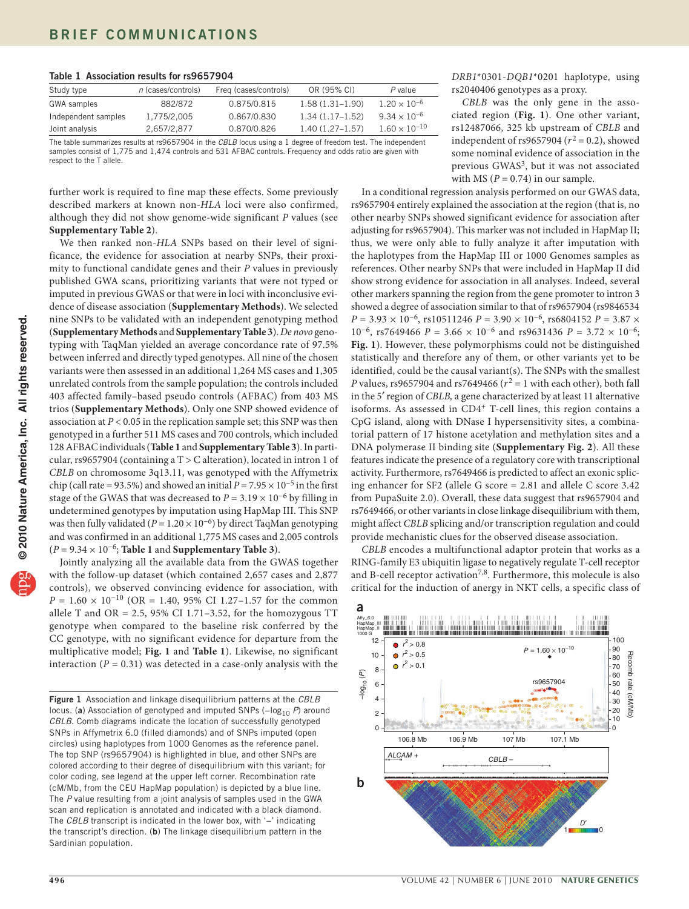<span id="page-1-0"></span>

|  |  | Table 1 Association results for rs9657904 |  |  |  |
|--|--|-------------------------------------------|--|--|--|
|--|--|-------------------------------------------|--|--|--|

| Study type          | $n$ (cases/controls) | Freq (cases/controls) | OR (95% CI)       | P value                |
|---------------------|----------------------|-----------------------|-------------------|------------------------|
| GWA samples         | 882/872              | 0.875/0.815           | $1.58(1.31-1.90)$ | $1.20 \times 10^{-6}$  |
| Independent samples | 1.775/2.005          | 0.867/0.830           | $1.34(1.17-1.52)$ | $9.34 \times 10^{-6}$  |
| Joint analysis      | 2.657/2.877          | 0.870/0.826           | $1.40(1.27-1.57)$ | $1.60 \times 10^{-10}$ |

The table summarizes results at rs9657904 in the *CBLB* locus using a 1 degree of freedom test. The independent samples consist of 1,775 and 1,474 controls and 531 AFBAC controls. Frequency and odds ratio are given with respect to the T allele.

further work is required to fine map these effects. Some previously described markers at known non-*HLA* loci were also confirmed, although they did not show genome-wide significant *P* values (see **Supplementary Table 2**).

We then ranked non-*HLA* SNPs based on their level of significance, the evidence for association at nearby SNPs, their proximity to functional candidate genes and their *P* values in previously published GWA scans, prioritizing variants that were not typed or imputed in previous GWAS or that were in loci with inconclusive evidence of disease association (**Supplementary Methods**). We selected nine SNPs to be validated with an independent genotyping method (**Supplementary Methods** and **Supplementary Table 3**). *De novo* genotyping with TaqMan yielded an average concordance rate of 97.5% between inferred and directly typed genotypes. All nine of the chosen variants were then assessed in an additional 1,264 MS cases and 1,305 unrelated controls from the sample population; the controls included 403 affected family–based pseudo controls (AFBAC) from 403 MS trios (**Supplementary Methods**). Only one SNP showed evidence of association at  $P < 0.05$  in the replication sample set; this SNP was then genotyped in a further 511 MS cases and 700 controls, which included 128 AFBAC individuals (**[Table 1](#page-1-0)** and **Supplementary Table 3**). In particular, rs9657904 (containing a T > C alteration), located in intron 1 of *CBLB* on chromosome 3q13.11, was genotyped with the Affymetrix chip (call rate = 93.5%) and showed an initial  $P = 7.95 \times 10^{-5}$  in the first stage of the GWAS that was decreased to  $P = 3.19 \times 10^{-6}$  by filling in undetermined genotypes by imputation using HapMap III. This SNP was then fully validated ( $P = 1.20 \times 10^{-6}$ ) by direct TaqMan genotyping and was confirmed in an additional 1,775 MS cases and 2,005 controls (*P* = 9.34 × 10−6; **[Table 1](#page-1-0)** and **Supplementary Table 3**).

Jointly analyzing all the available data from the GWAS together with the follow-up dataset (which contained 2,657 cases and 2,877 controls), we observed convincing evidence for association, with  $P = 1.60 \times 10^{-10}$  (OR = 1.40, 95% CI 1.27–1.57 for the common allele T and OR =  $2.5$ ,  $95\%$  CI 1.71-3.52, for the homozygous TT genotype when compared to the baseline risk conferred by the CC genotype, with no significant evidence for departure from the multiplicative model; **[Fig. 1](#page-1-1)** and **[Table 1](#page-1-0)**). Likewise, no significant interaction  $(P = 0.31)$  was detected in a case-only analysis with the

*DRB1*\*0301-*DQB1*\*0201 haplotype, using rs2040406 genotypes as a proxy.

*CBLB* was the only gene in the associated region (**[Fig. 1](#page-1-1)**). One other variant, rs12487066, 325 kb upstream of *CBLB* and independent of rs9657904 ( $r^2$  = 0.2), showed some nominal evidence of association in the previous GWAS<sup>3</sup>, but it was not associated with MS ( $P = 0.74$ ) in our sample.

In a conditional regression analysis performed on our GWAS data, rs9657904 entirely explained the association at the region (that is, no other nearby SNPs showed significant evidence for association after adjusting for rs9657904). This marker was not included in HapMap II; thus, we were only able to fully analyze it after imputation with the haplotypes from the HapMap III or 1000 Genomes samples as references. Other nearby SNPs that were included in HapMap II did show strong evidence for association in all analyses. Indeed, several other markers spanning the region from the gene promoter to intron 3 showed a degree of association similar to that of rs9657904 (rs9846534 *P* = 3.93 × 10<sup>-6</sup>, rs10511246 *P* = 3.90 × 10<sup>-6</sup>, rs6804152 *P* = 3.87 × 10−6, rs7649466 *P* = 3.66 × 10−6 and rs9631436 *P* = 3.72 × 10−6; **[Fig. 1](#page-1-1)**). However, these polymorphisms could not be distinguished statistically and therefore any of them, or other variants yet to be identified, could be the causal variant(s). The SNPs with the smallest *P* values, rs9657904 and rs7649466 ( $r^2 = 1$  with each other), both fall in the 5′ region of *CBLB,* a gene characterized by at least 11 alternative isoforms. As assessed in CD4<sup>+</sup> T-cell lines, this region contains a CpG island, along with DNase I hypersensitivity sites, a combinatorial pattern of 17 histone acetylation and methylation sites and a DNA polymerase II binding site (**Supplementary Fig. 2**). All these features indicate the presence of a regulatory core with transcriptional activity. Furthermore, rs7649466 is predicted to affect an exonic splicing enhancer for SF2 (allele G score = 2.81 and allele C score 3.42 from PupaSuite 2.0). Overall, these data suggest that rs9657904 and rs7649466, or other variants in close linkage disequilibrium with them, might affect *CBLB* splicing and/or transcription regulation and could provide mechanistic clues for the observed disease association.

*CBLB* encodes a multifunctional adaptor protein that works as a RING-family E3 ubiquitin ligase to negatively regulate T-cell receptor and B-cell receptor activation<sup>7,8</sup>. Furthermore, this molecule is also critical for the induction of anergy in NKT cells, a specific class of



<span id="page-1-1"></span>Figure 1 Association and linkage disequilibrium patterns at the *CBLB* locus. (a) Association of genotyped and imputed SNPs (-log<sub>10</sub> P) around *CBLB*. Comb diagrams indicate the location of successfully genotyped SNPs in Affymetrix 6.0 (filled diamonds) and of SNPs imputed (open circles) using haplotypes from 1000 Genomes as the reference panel. The top SNP (rs9657904) is highlighted in blue, and other SNPs are colored according to their degree of disequilibrium with this variant; for color coding, see legend at the upper left corner. Recombination rate (cM/Mb, from the CEU HapMap population) is depicted by a blue line. The *P* value resulting from a joint analysis of samples used in the GWA scan and replication is annotated and indicated with a black diamond. The *CBLB* transcript is indicated in the lower box, with '−' indicating the transcript's direction. (b) The linkage disequilibrium pattern in the Sardinian population.